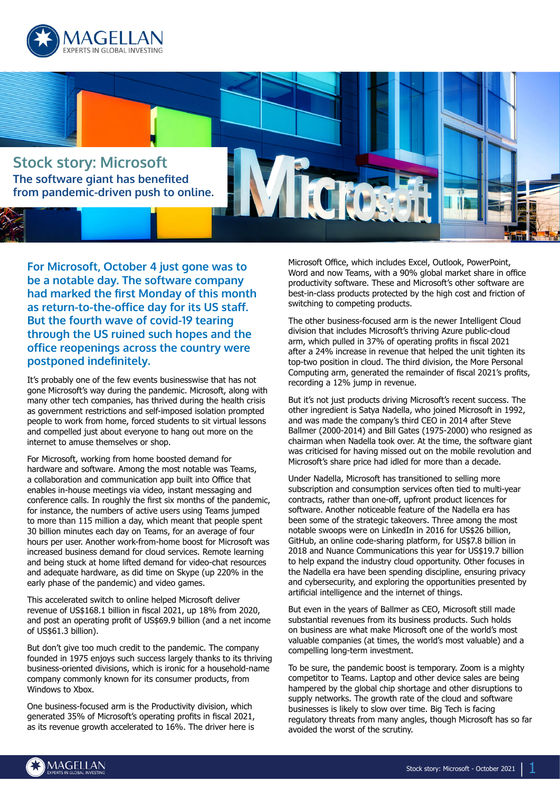



**For Microsoft, October 4 just gone was to be a notable day. The software company had marked the first Monday of this month as return-to-the-office day for its US staff. But the fourth wave of covid-19 tearing through the US ruined such hopes and the office reopenings across the country were postponed indefinitely.**

It's probably one of the few events businesswise that has not gone Microsoft's way during the pandemic. Microsoft, along with many other tech companies, has thrived during the health crisis as government restrictions and self-imposed isolation prompted people to work from home, forced students to sit virtual lessons and compelled just about everyone to hang out more on the internet to amuse themselves or shop.

For Microsoft, working from home boosted demand for hardware and software. Among the most notable was Teams, a collaboration and communication app built into Office that enables in-house meetings via video, instant messaging and conference calls. In roughly the first six months of the pandemic, for instance, the numbers of active users using Teams jumped to more than 115 million a day, which meant that people spent 30 billion minutes each day on Teams, for an average of four hours per user. Another work-from-home boost for Microsoft was increased business demand for cloud services. Remote learning and being stuck at home lifted demand for video-chat resources and adequate hardware, as did time on Skype (up 220% in the early phase of the pandemic) and video games.

This accelerated switch to online helped Microsoft deliver revenue of US\$168.1 billion in fiscal 2021, up 18% from 2020, and post an operating profit of US\$69.9 billion (and a net income of US\$61.3 billion).

But don't give too much credit to the pandemic. The company founded in 1975 enjoys such success largely thanks to its thriving business-oriented divisions, which is ironic for a household-name company commonly known for its consumer products, from Windows to Xbox.

One business-focused arm is the Productivity division, which generated 35% of Microsoft's operating profits in fiscal 2021, as its revenue growth accelerated to 16%. The driver here is Microsoft Office, which includes Excel, Outlook, PowerPoint, Word and now Teams, with a 90% global market share in office productivity software. These and Microsoft's other software are best-in-class products protected by the high cost and friction of switching to competing products.

The other business-focused arm is the newer Intelligent Cloud division that includes Microsoft's thriving Azure public-cloud arm, which pulled in 37% of operating profits in fiscal 2021 after a 24% increase in revenue that helped the unit tighten its top-two position in cloud. The third division, the More Personal Computing arm, generated the remainder of fiscal 2021's profits, recording a 12% jump in revenue.

But it's not just products driving Microsoft's recent success. The other ingredient is Satya Nadella, who joined Microsoft in 1992, and was made the company's third CEO in 2014 after Steve Ballmer (2000-2014) and Bill Gates (1975-2000) who resigned as chairman when Nadella took over. At the time, the software giant was criticised for having missed out on the mobile revolution and Microsoft's share price had idled for more than a decade.

Under Nadella, Microsoft has transitioned to selling more subscription and consumption services often tied to multi-year contracts, rather than one-off, upfront product licences for software. Another noticeable feature of the Nadella era has been some of the strategic takeovers. Three among the most notable swoops were on LinkedIn in 2016 for US\$26 billion, GitHub, an online code-sharing platform, for US\$7.8 billion in 2018 and Nuance Communications this year for US\$19.7 billion to help expand the industry cloud opportunity. Other focuses in the Nadella era have been spending discipline, ensuring privacy and cybersecurity, and exploring the opportunities presented by artificial intelligence and the internet of things.

But even in the years of Ballmer as CEO, Microsoft still made substantial revenues from its business products. Such holds on business are what make Microsoft one of the world's most valuable companies (at times, the world's most valuable) and a compelling long-term investment.

To be sure, the pandemic boost is temporary. Zoom is a mighty competitor to Teams. Laptop and other device sales are being hampered by the global chip shortage and other disruptions to supply networks. The growth rate of the cloud and software businesses is likely to slow over time. Big Tech is facing regulatory threats from many angles, though Microsoft has so far avoided the worst of the scrutiny.